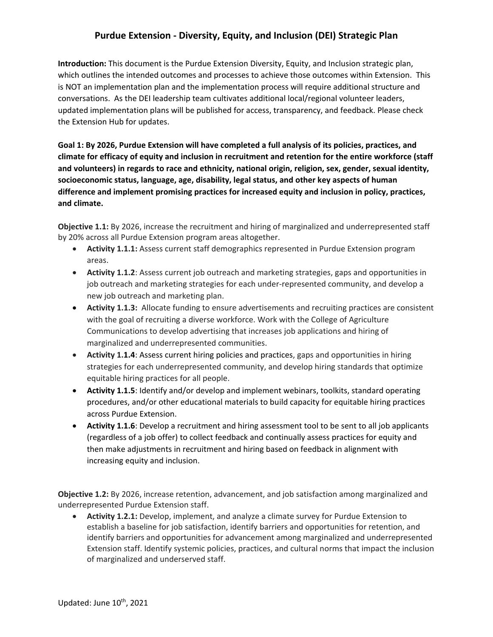**Introduction:** This document is the Purdue Extension Diversity, Equity, and Inclusion strategic plan, which outlines the intended outcomes and processes to achieve those outcomes within Extension. This is NOT an implementation plan and the implementation process will require additional structure and conversations. As the DEI leadership team cultivates additional local/regional volunteer leaders, updated implementation plans will be published for access, transparency, and feedback. Please check the Extension Hub for updates.

**Goal 1: By 2026, Purdue Extension will have completed a full analysis of its policies, practices, and climate for efficacy of equity and inclusion in recruitment and retention for the entire workforce (staff and volunteers) in regards to race and ethnicity, national origin, religion, sex, gender, sexual identity, socioeconomic status, language, age, disability, legal status, and other key aspects of human difference and implement promising practices for increased equity and inclusion in policy, practices, and climate.**

**Objective 1.1:** By 2026, increase the recruitment and hiring of marginalized and underrepresented staff by 20% across all Purdue Extension program areas altogether.

- **Activity 1.1.1:** Assess current staff demographics represented in Purdue Extension program areas.
- **Activity 1.1.2**: Assess current job outreach and marketing strategies, gaps and opportunities in job outreach and marketing strategies for each under-represented community, and develop a new job outreach and marketing plan.
- **Activity 1.1.3:** Allocate funding to ensure advertisements and recruiting practices are consistent with the goal of recruiting a diverse workforce. Work with the College of Agriculture Communications to develop advertising that increases job applications and hiring of marginalized and underrepresented communities.
- **Activity 1.1.4**: Assess current hiring policies and practices, gaps and opportunities in hiring strategies for each underrepresented community, and develop hiring standards that optimize equitable hiring practices for all people.
- **Activity 1.1.5**: Identify and/or develop and implement webinars, toolkits, standard operating procedures, and/or other educational materials to build capacity for equitable hiring practices across Purdue Extension.
- **Activity 1.1.6**: Develop a recruitment and hiring assessment tool to be sent to all job applicants (regardless of a job offer) to collect feedback and continually assess practices for equity and then make adjustments in recruitment and hiring based on feedback in alignment with increasing equity and inclusion.

**Objective 1.2:** By 2026, increase retention, advancement, and job satisfaction among marginalized and underrepresented Purdue Extension staff.

• **Activity 1.2.1:** Develop, implement, and analyze a climate survey for Purdue Extension to establish a baseline for job satisfaction, identify barriers and opportunities for retention, and identify barriers and opportunities for advancement among marginalized and underrepresented Extension staff. Identify systemic policies, practices, and cultural norms that impact the inclusion of marginalized and underserved staff.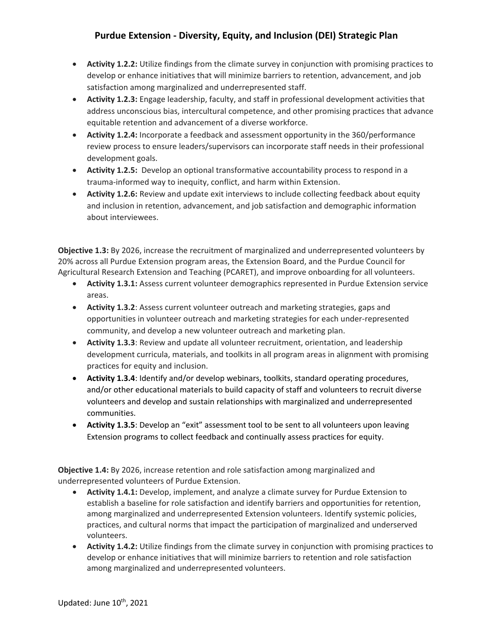- **Activity 1.2.2:** Utilize findings from the climate survey in conjunction with promising practices to develop or enhance initiatives that will minimize barriers to retention, advancement, and job satisfaction among marginalized and underrepresented staff.
- **Activity 1.2.3:** Engage leadership, faculty, and staff in professional development activities that address unconscious bias, intercultural competence, and other promising practices that advance equitable retention and advancement of a diverse workforce.
- **Activity 1.2.4:** Incorporate a feedback and assessment opportunity in the 360/performance review process to ensure leaders/supervisors can incorporate staff needs in their professional development goals.
- **Activity 1.2.5:** Develop an optional transformative accountability process to respond in a trauma-informed way to inequity, conflict, and harm within Extension.
- **Activity 1.2.6:** Review and update exit interviews to include collecting feedback about equity and inclusion in retention, advancement, and job satisfaction and demographic information about interviewees.

**Objective 1.3:** By 2026, increase the recruitment of marginalized and underrepresented volunteers by 20% across all Purdue Extension program areas, the Extension Board, and the Purdue Council for Agricultural Research Extension and Teaching (PCARET), and improve onboarding for all volunteers.

- **Activity 1.3.1:** Assess current volunteer demographics represented in Purdue Extension service areas.
- **Activity 1.3.2**: Assess current volunteer outreach and marketing strategies, gaps and opportunities in volunteer outreach and marketing strategies for each under-represented community, and develop a new volunteer outreach and marketing plan.
- **Activity 1.3.3**: Review and update all volunteer recruitment, orientation, and leadership development curricula, materials, and toolkits in all program areas in alignment with promising practices for equity and inclusion.
- **Activity 1.3.4**: Identify and/or develop webinars, toolkits, standard operating procedures, and/or other educational materials to build capacity of staff and volunteers to recruit diverse volunteers and develop and sustain relationships with marginalized and underrepresented communities.
- **Activity 1.3.5**: Develop an "exit" assessment tool to be sent to all volunteers upon leaving Extension programs to collect feedback and continually assess practices for equity.

**Objective 1.4:** By 2026, increase retention and role satisfaction among marginalized and underrepresented volunteers of Purdue Extension.

- **Activity 1.4.1:** Develop, implement, and analyze a climate survey for Purdue Extension to establish a baseline for role satisfaction and identify barriers and opportunities for retention, among marginalized and underrepresented Extension volunteers. Identify systemic policies, practices, and cultural norms that impact the participation of marginalized and underserved volunteers.
- **Activity 1.4.2:** Utilize findings from the climate survey in conjunction with promising practices to develop or enhance initiatives that will minimize barriers to retention and role satisfaction among marginalized and underrepresented volunteers.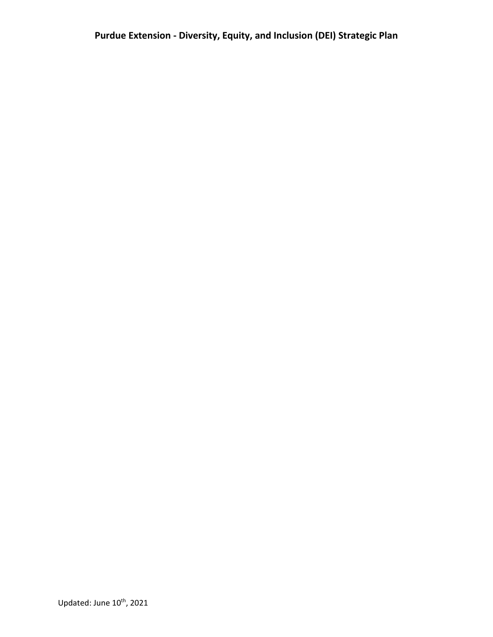Updated: June 10<sup>th</sup>, 2021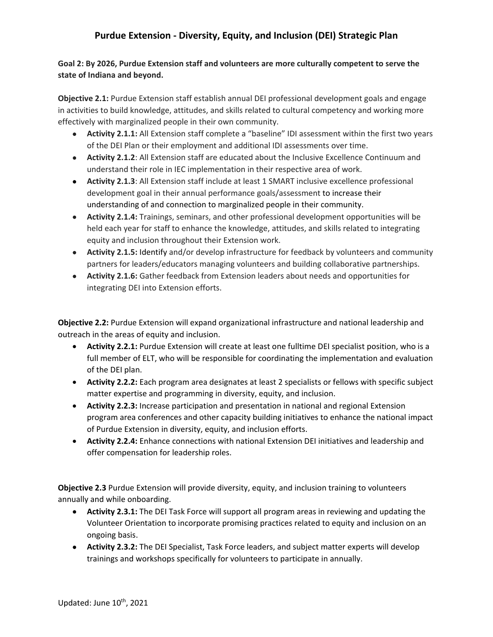#### **Goal 2: By 2026, Purdue Extension staff and volunteers are more culturally competent to serve the state of Indiana and beyond.**

**Objective 2.1:** Purdue Extension staff establish annual DEI professional development goals and engage in activities to build knowledge, attitudes, and skills related to cultural competency and working more effectively with marginalized people in their own community.

- **Activity 2.1.1:** All Extension staff complete a "baseline" IDI assessment within the first two years of the DEI Plan or their employment and additional IDI assessments over time.
- **Activity 2.1.2**: All Extension staff are educated about the Inclusive Excellence Continuum and understand their role in IEC implementation in their respective area of work.
- **Activity 2.1.3**: All Extension staff include at least 1 SMART inclusive excellence professional development goal in their annual performance goals/assessment to increase their understanding of and connection to marginalized people in their community.
- **Activity 2.1.4:** Trainings, seminars, and other professional development opportunities will be held each year for staff to enhance the knowledge, attitudes, and skills related to integrating equity and inclusion throughout their Extension work.
- **Activity 2.1.5:** Identify and/or develop infrastructure for feedback by volunteers and community partners for leaders/educators managing volunteers and building collaborative partnerships.
- **Activity 2.1.6:** Gather feedback from Extension leaders about needs and opportunities for integrating DEI into Extension efforts.

**Objective 2.2:** Purdue Extension will expand organizational infrastructure and national leadership and outreach in the areas of equity and inclusion.

- **Activity 2.2.1:** Purdue Extension will create at least one fulltime DEI specialist position, who is a full member of ELT, who will be responsible for coordinating the implementation and evaluation of the DEI plan.
- **Activity 2.2.2:** Each program area designates at least 2 specialists or fellows with specific subject matter expertise and programming in diversity, equity, and inclusion.
- **Activity 2.2.3:** Increase participation and presentation in national and regional Extension program area conferences and other capacity building initiatives to enhance the national impact of Purdue Extension in diversity, equity, and inclusion efforts.
- **Activity 2.2.4:** Enhance connections with national Extension DEI initiatives and leadership and offer compensation for leadership roles.

**Objective 2.3** Purdue Extension will provide diversity, equity, and inclusion training to volunteers annually and while onboarding.

- **Activity 2.3.1:** The DEI Task Force will support all program areas in reviewing and updating the Volunteer Orientation to incorporate promising practices related to equity and inclusion on an ongoing basis.
- **Activity 2.3.2:** The DEI Specialist, Task Force leaders, and subject matter experts will develop trainings and workshops specifically for volunteers to participate in annually.